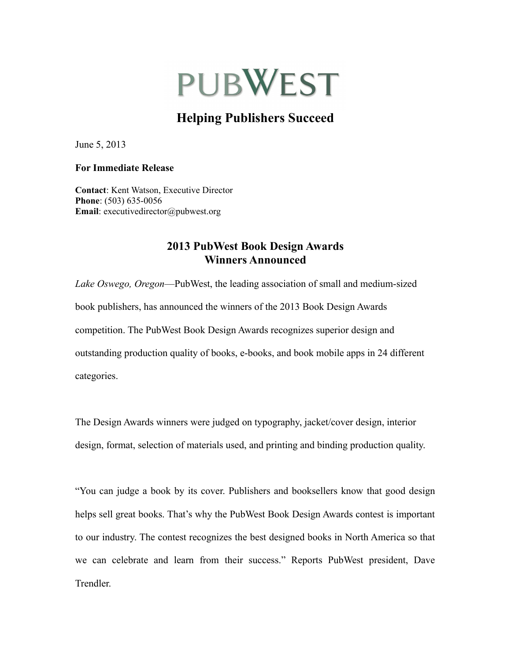# **PUBWEST**

## **Helping Publishers Succeed**

June 5, 2013

#### **For Immediate Release**

**Contact**: Kent Watson, Executive Director **Phone**: (503) 635-0056 **Email**: executivedirector@pubwest.org

## **2013 PubWest Book Design Awards Winners Announced**

*Lake Oswego, Oregon*—PubWest, the leading association of small and medium-sized book publishers, has announced the winners of the 2013 Book Design Awards competition. The PubWest Book Design Awards recognizes superior design and outstanding production quality of books, e-books, and book mobile apps in 24 different categories.

The Design Awards winners were judged on typography, jacket/cover design, interior design, format, selection of materials used, and printing and binding production quality.

"You can judge a book by its cover. Publishers and booksellers know that good design helps sell great books. That's why the PubWest Book Design Awards contest is important to our industry. The contest recognizes the best designed books in North America so that we can celebrate and learn from their success." Reports PubWest president, Dave Trendler.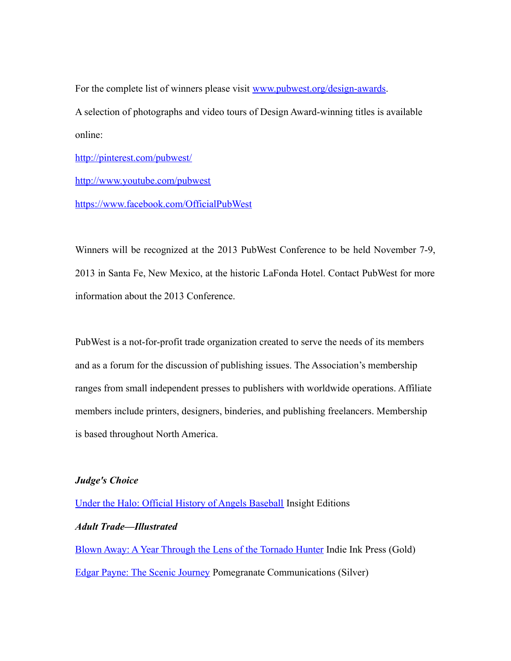For the complete list of winners please visit [www.pubwest.org/design-awards.](http://www.pubwest.org/design-awards) A selection of photographs and video tours of Design Award-winning titles is available online:

<http://pinterest.com/pubwest/>

[http://www.youtube.com/pubwest](http://www.youtube.com/playlist?list=PLJSfCwUMrt_GCSIZWTmrObjQvU1-CKjVe)

<https://www.facebook.com/OfficialPubWest>

Winners will be recognized at the 2013 PubWest Conference to be held November 7-9, 2013 in Santa Fe, New Mexico, at the historic LaFonda Hotel. Contact PubWest for more information about the 2013 Conference.

PubWest is a not-for-profit trade organization created to serve the needs of its members and as a forum for the discussion of publishing issues. The Association's membership ranges from small independent presses to publishers with worldwide operations. Affiliate members include printers, designers, binderies, and publishing freelancers. Membership is based throughout North America.

#### *Judge's Choice*

[Under the Halo: Official History of Angels Baseball](http://www.insighteditions.com/Under-Halo-Pete-Donovan/dp/1608870197) Insight Editions *Adult Trade—Illustrated* [Blown Away: A Year Through the Lens of the Tornado Hunter](http://indieinkpublishing.com/presta/25-blown-away-9780987810519.html) Indie Ink Press (Gold) [Edgar Payne: The Scenic Journey](http://www.pomegranate.com/a203.html) Pomegranate Communications (Silver)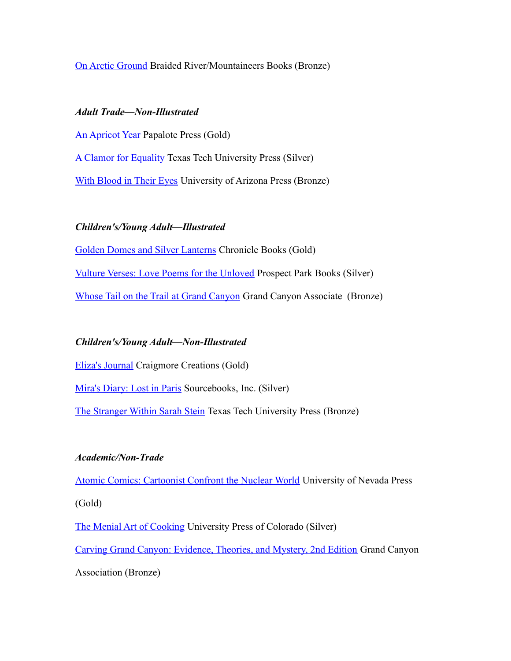#### [On Arctic Ground](http://www.mountaineersbooks.org/On-Arctic-Ground-P955.aspx) Braided River/Mountaineers Books (Bronze)

#### *Adult Trade—Non-Illustrated*

[An Apricot Year](http://www.papalotepress.com/apricot_book.html) Papalote Press (Gold) [A Clamor for Equality](http://ttupress.org/books/a-clamor-for-equality-cloth) Texas Tech University Press (Silver) [With Blood in Their Eyes](http://www.uapress.arizona.edu/Books/bid2365.htm) University of Arizona Press (Bronze)

#### *Children's/Young Adult—Illustrated*

[Golden Domes and Silver Lanterns](http://www.chroniclebooks.com/golden-domes-and-silver-lanterns.html) Chronicle Books (Gold) [Vulture Verses: Love Poems for the Unloved](http://www.prospectparkbooks.com/portfolio-item/vulture-verses-love-poems-for-the-unloved/) Prospect Park Books (Silver) [Whose Tail on the Trail at Grand Canyon](https://www.grandcanyon.org/shop/online-store/whose-tail-trail-grand-canyon) Grand Canyon Associate (Bronze)

#### *Children's/Young Adult—Non-Illustrated*

[Eliza's Journal](http://www.craigmorecreations.com/elizas-journal/) Craigmore Creations (Gold)

[Mira's Diary: Lost in Paris](http://www.sourcebooks.com/store/miras-diary-lost-in-paris.html) Sourcebooks, Inc. (Silver)

[The Stranger Within Sarah Stein](http://ttupress.org/books/the-stranger-within-sarah-stein-cloth) Texas Tech University Press (Bronze)

#### *Academic/Non-Trade*

**[Atomic Comics: Cartoonist Confront the Nuclear World](http://www.unpress.nevada.edu/NewForthcoming/Titles/Atomic%20Comics;2245?1&PHPSESSID=1611acdfd792f398882315f156dab9d6) University of Nevada Press** (Gold)

[The Menial Art of Cooking](http://www.upcolorado.com/book/New_Titles/The_Menial_Art_of_Cooking) University Press of Colorado (Silver)

[Carving Grand Canyon: Evidence, Theories, and Mystery, 2nd Edition](http://www.grandcanyon.org/shop/online-store/geology/carving-grand-canyon-evidence-theories-and-mystery-2nd-edition-wayne) Grand Canyon

Association (Bronze)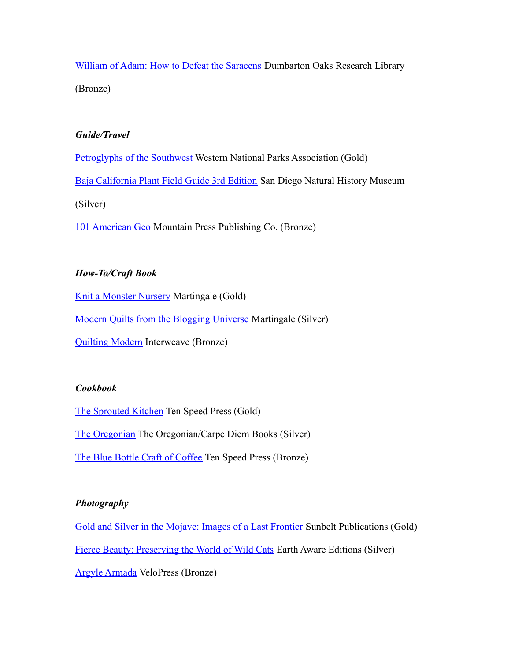[William of Adam: How to Defeat the Saracens](http://www.doaks.org/resources/publications/books-in-print/dumbarton-oaks-medevial-humanities/how-to-defeat-the-saracens) Dumbarton Oaks Research Library (Bronze)

## *Guide/Travel*

[Petroglyphs of the Southwest](http://www.wnpa.org/Merchant2/merchant.mv?Screen=PROD&Store_Code=WNPAS&Product_Code=P1329) Western National Parks Association (Gold)

[Baja California Plant Field Guide 3rd Edition](http://shop.sdnhm.org/a567/books-for-adults/botany/baja-california-plant-field-guild-3rd-edition.html) San Diego Natural History Museum

(Silver)

[101 American Geo](http://mountain-press.com/item_detail.php?item_key=594) Mountain Press Publishing Co. (Bronze)

## *How-To/Craft Book*

[Knit a Monster Nursery](http://www.shopmartingale.com/knit-a-monster-nursery.html) Martingale (Gold)

[Modern Quilts from the Blogging Universe](http://www.shopmartingale.com/modern-quilts-from-the-blogging-universe.html) Martingale (Silver)

[Quilting Modern](http://www.interweavestore.com/quilting-modern-11qm03) Interweave (Bronze)

## *Cookbook*

[The Sprouted Kitchen](http://www.randomhouse.com/book/212200/the-sprouted-kitchen-by-sara-forte) Ten Speed Press (Gold) [The Oregonian](http://www.rlomediaproductions.com/products.html) The Oregonian/Carpe Diem Books (Silver)

[The Blue Bottle Craft of Coffee](http://www.randomhouse.com/book/212395/the-blue-bottle-craft-of-coffee-by-james-freeman-caitlin-freeman-and-tara-duggan) Ten Speed Press (Bronze)

## *Photography*

[Gold and Silver in the Mojave: Images of a Last Frontier](http://www.sunbeltbook.com/book-details?id=456) Sunbelt Publications (Gold) [Fierce Beauty: Preserving the World of Wild Cats](http://www.mandalaeartheditions.com/Fierce-Beauty-Preserving-World-Wild/dp/1601090617) Earth Aware Editions (Silver) [Argyle Armada](http://velopress.com/books/argyle-armada/) VeloPress (Bronze)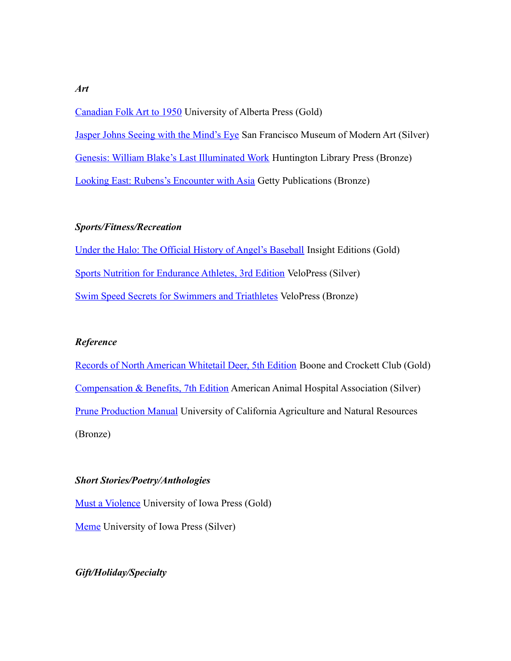[Canadian Folk Art to 1950](http://www.uap.ualberta.ca/UAP.asp?lid=41&bookid=928) University of Alberta Press (Gold) [Jasper Johns Seeing with the Mind's Eye](http://museumstore.sfmoma.org/jajosewimiey.html) San Francisco Museum of Modern Art (Silver) [Genesis: William Blake's Last Illuminated Work](http://www.huntington.org/huntingtonlibrary_bookpublication.aspx?id=9630) Huntington Library Press (Bronze) [Looking East: Rubens's Encounter with Asia](http://www.getty.edu/art/exhibitions/looking_east/publications.html) Getty Publications (Bronze)

#### *Sports/Fitness/Recreation*

[Under the Halo: The Official History of Angel's Baseball](http://www.insighteditions.com/Under-Halo-Pete-Donovan/dp/1608870197) Insight Editions (Gold) [Sports Nutrition for Endurance Athletes, 3rd Edition](http://velopress.com/books/sports-nutrition-for-endurance-athletes-3rd-ed/) VeloPress (Silver) [Swim Speed Secrets for Swimmers and Triathletes](http://velopress.com/books/swim-speed-secrets-for-swimmers-and-triathletes/) VeloPress (Bronze)

#### *Reference*

[Records of North American Whitetail Deer, 5th Edition](http://www.boone-crockett.org/news/WhitetailHuntingBook.asp?area=news) Boone and Crockett Club (Gold) [Compensation & Benefits, 7th Edition](https://www.aahanet.org/Store/ProductDetail.aspx?type=PracticeManagement&code=CBEN7) American Animal Hospital Association (Silver) [Prune Production Manual](http://anrcatalog.ucdavis.edu/Details.aspx?itemNo=3507) University of California Agriculture and Natural Resources (Bronze)

#### *Short Stories/Poetry/Anthologies*

[Must a Violence](http://www.uiowapress.org/books/2012-fall/must-violence.htm) University of Iowa Press (Gold) [Meme](http://www.uiowapress.org/books/2012-fall/meme.htm) University of Iowa Press (Silver)

## *Gift/Holiday/Specialty*

*Art*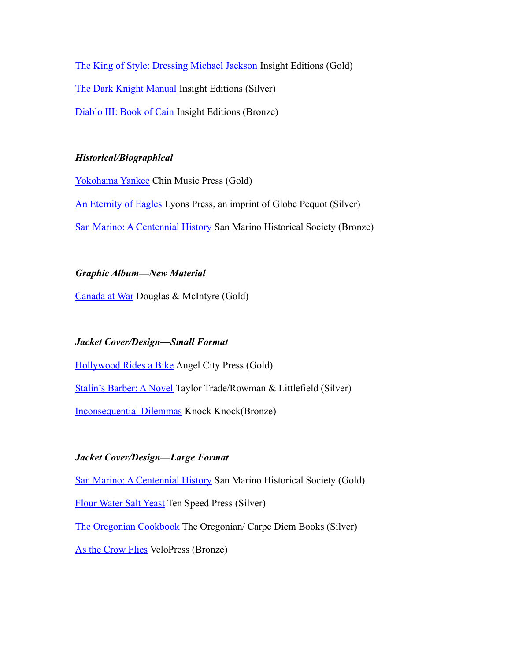[The King of Style: Dressing Michael Jackson](http://www.insighteditions.com/The-King-Style-Dressing-Michael/dp/1608871517) Insight Editions (Gold) [The Dark Knight Manual](http://www.insighteditions.com/Dark-Knight-Manual-Brandon-Snider/dp/1608871045) Insight Editions (Silver) [Diablo III: Book of Cain](http://www.insighteditions.com/Diablo-III-Book-Cain-Deckard/dp/1608870634) Insight Editions (Bronze)

## *Historical/Biographical*

[Yokohama Yankee](http://store.chinmusicpress.com/product/new-orleans-bicycles) Chin Music Press (Gold) [An Eternity of Eagles](http://www.lyonspress.com/an_eternity_of_eagles-9780762780228) Lyons Press, an imprint of Globe Pequot (Silver) [San Marino: A Centennial History](http://www.vromansbookstore.com/san-marino-centennial-history) San Marino Historical Society (Bronze)

#### *Graphic Album—New Material*

[Canada at War](http://www.dmpibooks.com/book/canada-at-war) Douglas & McIntyre (Gold)

## *Jacket Cover/Design—Small Format*

[Hollywood Rides a Bike](http://www.angelcitypress.com/ribi.html) Angel City Press (Gold) [Stalin's Barber: A Novel](http://www.stalinsbarber.com/) Taylor Trade/Rowman & Littlefield (Silver) [Inconsequential Dilemmas](http://www.knockknockstuff.com/catalog/categories/books-other-words/books/inconsequential-dilemmas-45-flowcharts-for-life/) Knock Knock(Bronze)

## *Jacket Cover/Design—Large Format*

[San Marino: A Centennial History](http://www.vromansbookstore.com/san-marino-centennial-history) San Marino Historical Society (Gold) [Flour Water Salt Yeast](http://www.randomhouse.com/book/216098/flour-water-salt-yeast-by-ken-forkish) Ten Speed Press (Silver) [The Oregonian Cookbook](http://www.rlomediaproductions.com/products.html) The Oregonian/ Carpe Diem Books (Silver) [As the Crow Flies](http://velopress.com/books/as-the-crow-flies/) VeloPress (Bronze)